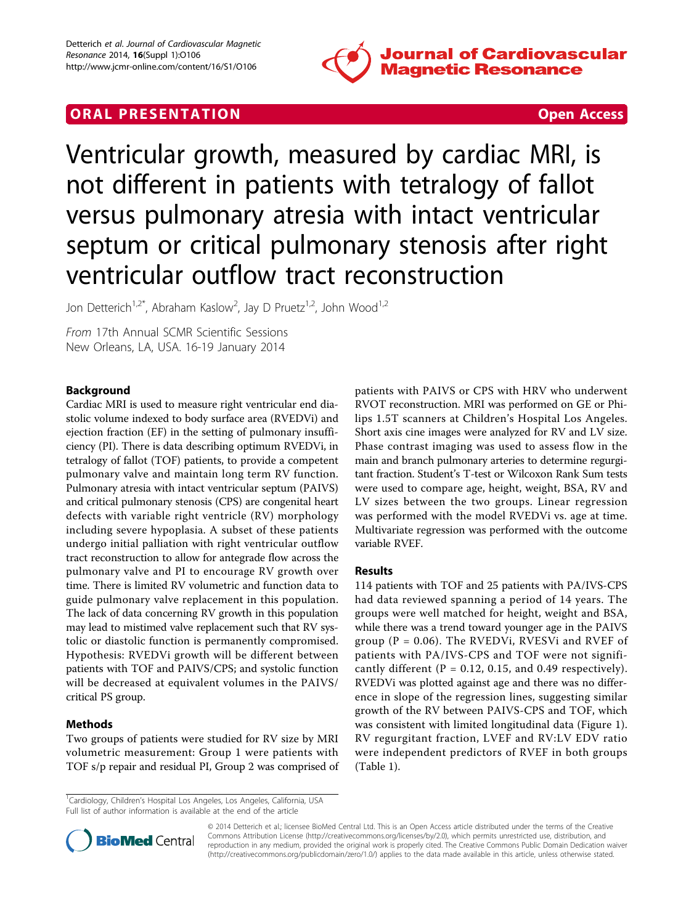

# **ORAL PRESENTATION CONSUMING ACCESS**



Ventricular growth, measured by cardiac MRI, is not different in patients with tetralogy of fallot versus pulmonary atresia with intact ventricular septum or critical pulmonary stenosis after right ventricular outflow tract reconstruction

Jon Detterich<sup>1,2\*</sup>, Abraham Kaslow<sup>2</sup>, Jay D Pruetz<sup>1,2</sup>, John Wood<sup>1,2</sup>

From 17th Annual SCMR Scientific Sessions New Orleans, LA, USA. 16-19 January 2014

## Background

Cardiac MRI is used to measure right ventricular end diastolic volume indexed to body surface area (RVEDVi) and ejection fraction (EF) in the setting of pulmonary insufficiency (PI). There is data describing optimum RVEDVi, in tetralogy of fallot (TOF) patients, to provide a competent pulmonary valve and maintain long term RV function. Pulmonary atresia with intact ventricular septum (PAIVS) and critical pulmonary stenosis (CPS) are congenital heart defects with variable right ventricle (RV) morphology including severe hypoplasia. A subset of these patients undergo initial palliation with right ventricular outflow tract reconstruction to allow for antegrade flow across the pulmonary valve and PI to encourage RV growth over time. There is limited RV volumetric and function data to guide pulmonary valve replacement in this population. The lack of data concerning RV growth in this population may lead to mistimed valve replacement such that RV systolic or diastolic function is permanently compromised. Hypothesis: RVEDVi growth will be different between patients with TOF and PAIVS/CPS; and systolic function will be decreased at equivalent volumes in the PAIVS/ critical PS group.

## Methods

Two groups of patients were studied for RV size by MRI volumetric measurement: Group 1 were patients with TOF s/p repair and residual PI, Group 2 was comprised of patients with PAIVS or CPS with HRV who underwent RVOT reconstruction. MRI was performed on GE or Philips 1.5T scanners at Children's Hospital Los Angeles. Short axis cine images were analyzed for RV and LV size. Phase contrast imaging was used to assess flow in the main and branch pulmonary arteries to determine regurgitant fraction. Student's T-test or Wilcoxon Rank Sum tests were used to compare age, height, weight, BSA, RV and LV sizes between the two groups. Linear regression was performed with the model RVEDVi vs. age at time. Multivariate regression was performed with the outcome variable RVEF.

## Results

114 patients with TOF and 25 patients with PA/IVS-CPS had data reviewed spanning a period of 14 years. The groups were well matched for height, weight and BSA, while there was a trend toward younger age in the PAIVS group ( $P = 0.06$ ). The RVEDVi, RVESVi and RVEF of patients with PA/IVS-CPS and TOF were not significantly different ( $P = 0.12$ , 0.15, and 0.49 respectively). RVEDVi was plotted against age and there was no difference in slope of the regression lines, suggesting similar growth of the RV between PAIVS-CPS and TOF, which was consistent with limited longitudinal data (Figure [1](#page-1-0)). RV regurgitant fraction, LVEF and RV:LV EDV ratio were independent predictors of RVEF in both groups (Table [1](#page-1-0)).

<sup>&</sup>lt;sup>1</sup>Cardiology, Children's Hospital Los Angeles, Los Angeles, California, USA Full list of author information is available at the end of the article



© 2014 Detterich et al.; licensee BioMed Central Ltd. This is an Open Access article distributed under the terms of the Creative Commons Attribution License [\(http://creativecommons.org/licenses/by/2.0](http://creativecommons.org/licenses/by/2.0)), which permits unrestricted use, distribution, and reproduction in any medium, provided the original work is properly cited. The Creative Commons Public Domain Dedication waiver [\(http://creativecommons.org/publicdomain/zero/1.0/](http://creativecommons.org/publicdomain/zero/1.0/)) applies to the data made available in this article, unless otherwise stated.